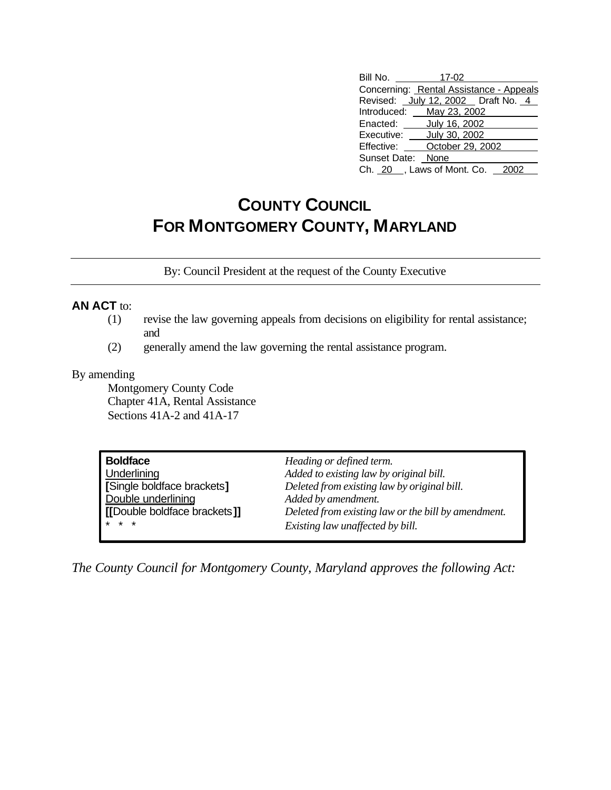## **COUNTY COUNCIL FOR MONTGOMERY COUNTY, MARYLAND**

By: Council President at the request of the County Executive

## **AN ACT** to:

- (1) revise the law governing appeals from decisions on eligibility for rental assistance; and
- (2) generally amend the law governing the rental assistance program.

## By amending

Montgomery County Code Chapter 41A, Rental Assistance Sections 41A-2 and 41A-17

| <b>Boldface</b>              | Heading or defined term.                            |
|------------------------------|-----------------------------------------------------|
| Underlining                  | Added to existing law by original bill.             |
| [Single boldface brackets]   | Deleted from existing law by original bill.         |
| Double underlining           | Added by amendment.                                 |
| [[Double boldface brackets]] | Deleted from existing law or the bill by amendment. |
| $* * *$                      | Existing law unaffected by bill.                    |

*The County Council for Montgomery County, Maryland approves the following Act:*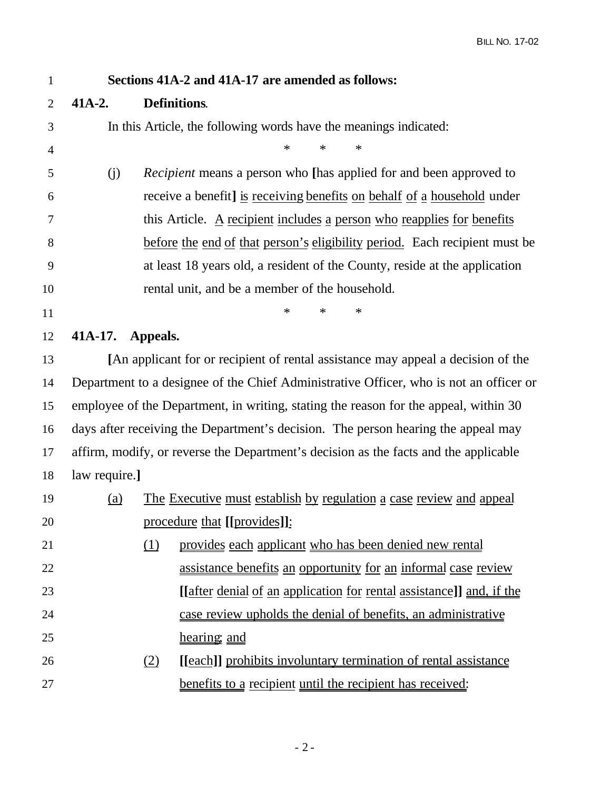| $\mathbf{1}$   | Sections 41A-2 and 41A-17 are amended as follows:                                      |          |                                                                                   |  |  |  |
|----------------|----------------------------------------------------------------------------------------|----------|-----------------------------------------------------------------------------------|--|--|--|
| $\overline{2}$ | $41A-2.$                                                                               |          | <b>Definitions.</b>                                                               |  |  |  |
| 3              | In this Article, the following words have the meanings indicated:                      |          |                                                                                   |  |  |  |
| $\overline{4}$ |                                                                                        |          | $\ast$<br>$\ast$<br>*                                                             |  |  |  |
| 5              | (j)                                                                                    |          | <i>Recipient</i> means a person who [has applied for and been approved to         |  |  |  |
| 6              |                                                                                        |          | receive a benefit] is receiving benefits on behalf of a household under           |  |  |  |
| 7              |                                                                                        |          | this Article. A recipient includes a person who reapplies for benefits            |  |  |  |
| 8              | before the end of that person's eligibility period. Each recipient must be             |          |                                                                                   |  |  |  |
| 9              | at least 18 years old, a resident of the County, reside at the application             |          |                                                                                   |  |  |  |
| 10             | rental unit, and be a member of the household.                                         |          |                                                                                   |  |  |  |
| 11             |                                                                                        |          | $\ast$<br>*<br>*                                                                  |  |  |  |
| 12             | 41A-17.                                                                                | Appeals. |                                                                                   |  |  |  |
| 13             |                                                                                        |          | [An applicant for or recipient of rental assistance may appeal a decision of the  |  |  |  |
| 14             | Department to a designee of the Chief Administrative Officer, who is not an officer or |          |                                                                                   |  |  |  |
| 15             | employee of the Department, in writing, stating the reason for the appeal, within 30   |          |                                                                                   |  |  |  |
| 16             |                                                                                        |          | days after receiving the Department's decision. The person hearing the appeal may |  |  |  |
| 17             | affirm, modify, or reverse the Department's decision as the facts and the applicable   |          |                                                                                   |  |  |  |
| 18             | law require.]                                                                          |          |                                                                                   |  |  |  |
| 19             | (a)                                                                                    |          | The Executive must establish by regulation a case review and appeal               |  |  |  |
| 20             |                                                                                        |          | procedure that [[provides]]:                                                      |  |  |  |
| 21             |                                                                                        | (1)      | provides each applicant who has been denied new rental                            |  |  |  |
| 22             |                                                                                        |          | assistance benefits an opportunity for an informal case review                    |  |  |  |
| 23             |                                                                                        |          | [ <i>after denial of an application for rental assistance</i> ]] and, if the      |  |  |  |
| 24             |                                                                                        |          | case review upholds the denial of benefits, an administrative                     |  |  |  |
| 25             |                                                                                        |          | hearing, and                                                                      |  |  |  |
| 26             |                                                                                        | (2)      | [[each]] prohibits involuntary termination of rental assistance                   |  |  |  |
| 27             |                                                                                        |          | benefits to a recipient until the recipient has received:                         |  |  |  |